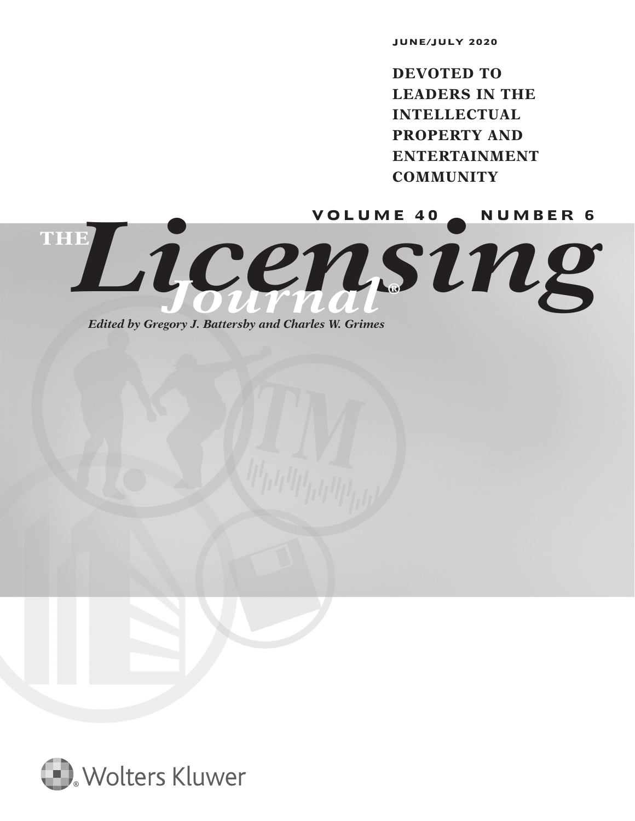**JUNE/JULY 2020**

**DEVOTED TO LEADERS IN THE INTELLECTUAL PROPERTY AND ENTERTAINMENT COMMUNITY**

Licensing **THE** *Journal* **®**

*Edited by Gregory J. Battersby and Charles W. Grimes*

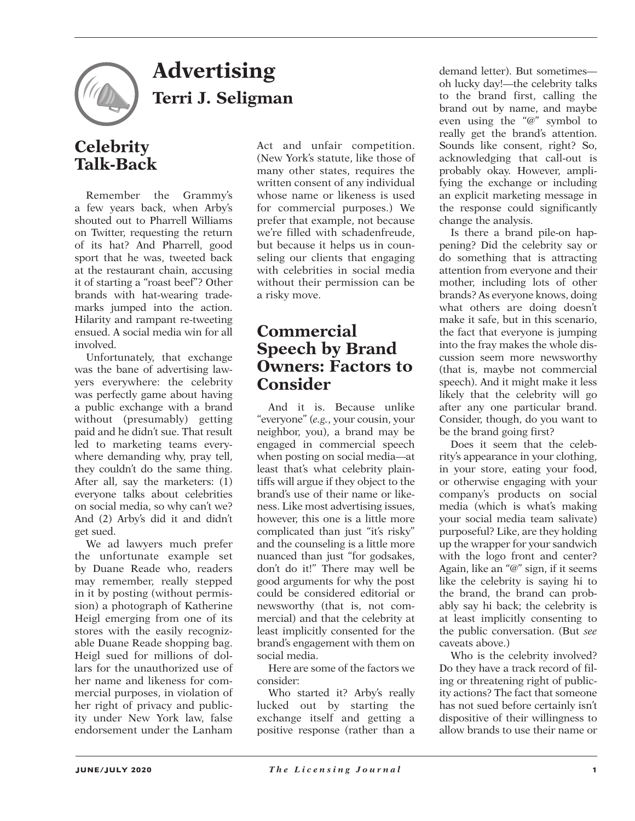

## **Advertising Terri J. Seligman**

## **Celebrity Talk-Back**

Remember the Grammy's a few years back, when Arby's shouted out to Pharrell Williams on Twitter, requesting the return of its hat? And Pharrell, good sport that he was, tweeted back at the restaurant chain, accusing it of starting a "roast beef"? Other brands with hat-wearing trademarks jumped into the action. Hilarity and rampant re-tweeting ensued. A social media win for all involved.

Unfortunately, that exchange was the bane of advertising lawyers everywhere: the celebrity was perfectly game about having a public exchange with a brand without (presumably) getting paid and he didn't sue. That result led to marketing teams everywhere demanding why, pray tell, they couldn't do the same thing. After all, say the marketers: (1) everyone talks about celebrities on social media, so why can't we? And (2) Arby's did it and didn't get sued.

We ad lawyers much prefer the unfortunate example set by Duane Reade who, readers may remember, really stepped in it by posting (without permission) a photograph of Katherine Heigl emerging from one of its stores with the easily recognizable Duane Reade shopping bag. Heigl sued for millions of dollars for the unauthorized use of her name and likeness for commercial purposes, in violation of her right of privacy and publicity under New York law, false endorsement under the Lanham Act and unfair competition. (New York's statute, like those of many other states, requires the written consent of any individual whose name or likeness is used for commercial purposes.) We prefer that example, not because we're filled with schadenfreude, but because it helps us in counseling our clients that engaging with celebrities in social media without their permission can be a risky move.

## **Commercial Speech by Brand Owners: Factors to Consider**

And it is. Because unlike "everyone" (*e.g.*, your cousin, your neighbor, you), a brand may be engaged in commercial speech when posting on social media—at least that's what celebrity plaintiffs will argue if they object to the brand's use of their name or likeness. Like most advertising issues, however, this one is a little more complicated than just "it's risky" and the counseling is a little more nuanced than just "for godsakes, don't do it!" There may well be good arguments for why the post could be considered editorial or newsworthy (that is, not commercial) and that the celebrity at least implicitly consented for the brand's engagement with them on social media.

Here are some of the factors we consider:

Who started it? Arby's really lucked out by starting the exchange itself and getting a positive response (rather than a demand letter). But sometimes oh lucky day!—the celebrity talks to the brand first, calling the brand out by name, and maybe even using the "@" symbol to really get the brand's attention. Sounds like consent, right? So, acknowledging that call-out is probably okay. However, amplifying the exchange or including an explicit marketing message in the response could significantly change the analysis.

Is there a brand pile-on happening? Did the celebrity say or do something that is attracting attention from everyone and their mother, including lots of other brands? As everyone knows, doing what others are doing doesn't make it safe, but in this scenario, the fact that everyone is jumping into the fray makes the whole discussion seem more newsworthy (that is, maybe not commercial speech). And it might make it less likely that the celebrity will go after any one particular brand. Consider, though, do you want to be the brand going first?

Does it seem that the celebrity's appearance in your clothing, in your store, eating your food, or otherwise engaging with your company's products on social media (which is what's making your social media team salivate) purposeful? Like, are they holding up the wrapper for your sandwich with the logo front and center? Again, like an "@" sign, if it seems like the celebrity is saying hi to the brand, the brand can probably say hi back; the celebrity is at least implicitly consenting to the public conversation. (But *see* caveats above.)

Who is the celebrity involved? Do they have a track record of filing or threatening right of publicity actions? The fact that someone has not sued before certainly isn't dispositive of their willingness to allow brands to use their name or